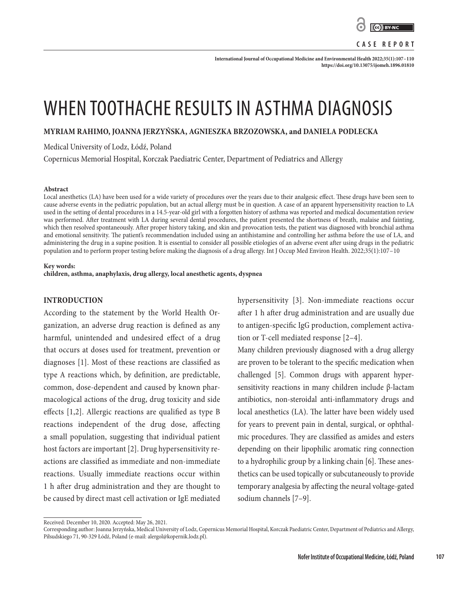

**CASE REPORT**

**International Journal of Occupational Medicine and Environmental Health 2022;35(1):107–110 <https://doi.org/10.13075/ijomeh.1896.01810>**

# WHEN TOOTHACHE RESULTS IN ASTHMA DIAGNOSIS

**MYRIAM RAHIMO, JOANNA JERZYŃSKA, AGNIESZKA BRZOZOWSKA, and DANIELA PODLECKA**

Medical University of Lodz, Łódź, Poland

Copernicus Memorial Hospital, Korczak Paediatric Center, Department of Pediatrics and Allergy

#### **Abstract**

Local anesthetics (LA) have been used for a wide variety of procedures over the years due to their analgesic effect. These drugs have been seen to cause adverse events in the pediatric population, but an actual allergy must be in question. A case of an apparent hypersensitivity reaction to LA used in the setting of dental procedures in a 14.5-year-old girl with a forgotten history of asthma was reported and medical documentation review was performed. After treatment with LA during several dental procedures, the patient presented the shortness of breath, malaise and fainting, which then resolved spontaneously. After proper history taking, and skin and provocation tests, the patient was diagnosed with bronchial asthma and emotional sensitivity. The patient's recommendation included using an antihistamine and controlling her asthma before the use of LA, and administering the drug in a supine position. It is essential to consider all possible etiologies of an adverse event after using drugs in the pediatric population and to perform proper testing before making the diagnosis of a drug allergy. Int J Occup Med Environ Health. 2022;35(1):107–10

#### **Key words:**

**children, asthma, anaphylaxis, drug allergy, local anesthetic agents, dyspnea**

### **INTRODUCTION**

According to the statement by the World Health Organization, an adverse drug reaction is defined as any harmful, unintended and undesired effect of a drug that occurs at doses used for treatment, prevention or diagnoses [1]. Most of these reactions are classified as type A reactions which, by definition, are predictable, common, dose-dependent and caused by known pharmacological actions of the drug, drug toxicity and side effects  $[1,2]$ . Allergic reactions are qualified as type B reactions independent of the drug dose, affecting a small population, suggesting that individual patient host factors are important [2]. Drug hypersensitivity reactions are classified as immediate and non-immediate reactions. Usually immediate reactions occur within 1 h after drug administration and they are thought to be caused by direct mast cell activation or IgE mediated hypersensitivity [3]. Non-immediate reactions occur after 1 h after drug administration and are usually due to antigen-specific IgG production, complement activation or T-cell mediated response [2–4].

Many children previously diagnosed with a drug allergy are proven to be tolerant to the specific medication when challenged [5]. Common drugs with apparent hypersensitivity reactions in many children include β-lactam antibiotics, non-steroidal anti-inflammatory drugs and local anesthetics (LA). The latter have been widely used for years to prevent pain in dental, surgical, or ophthalmic procedures. They are classified as amides and esters depending on their lipophilic aromatic ring connection to a hydrophilic group by a linking chain [6]. These anesthetics can be used topically or subcutaneously to provide temporary analgesia by affecting the neural voltage-gated sodium channels [7–9].

Received: December 10, 2020. Accepted: May 26, 2021.

Corresponding author: Joanna Jerzyńska, Medical University of Lodz, Copernicus Memorial Hospital, Korczak Paediatric Center, Department of Pediatrics and Allergy, Piłsudskiego 71, 90-329 Łódź, Poland (e-mail: alergol@kopernik.lodz.pl).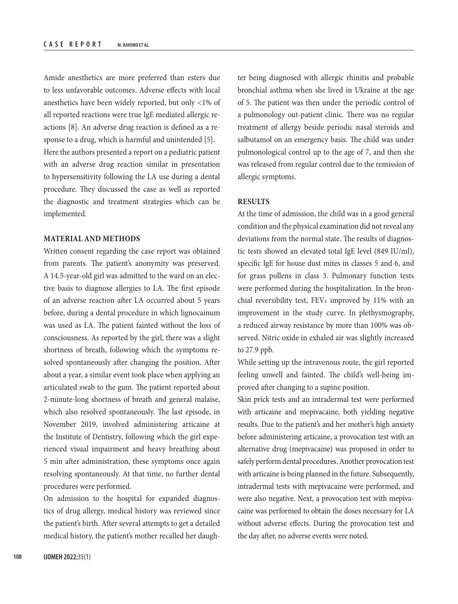Amide anesthetics are more preferred than esters due to less unfavorable outcomes. Adverse effects with local anesthetics have been widely reported, but only <1% of all reported reactions were true IgE mediated allergic reactions [8]. An adverse drug reaction is defined as a response to a drug, which is harmful and unintended [5]. Here the authors presented a report on a pediatric patient with an adverse drug reaction similar in presentation to hypersensitivity following the LA use during a dental procedure. They discussed the case as well as reported the diagnostic and treatment strategies which can be implemented.

### **MATERIAL AND METHODS**

Written consent regarding the case report was obtained from parents. The patient's anonymity was preserved. A 14.5-year-old girl was admitted to the ward on an elective basis to diagnose allergies to LA. The first episode of an adverse reaction after LA occurred about 5 years before, during a dental procedure in which lignocainum was used as LA. The patient fainted without the loss of consciousness. As reported by the girl, there was a slight shortness of breath, following which the symptoms resolved spontaneously after changing the position. After about a year, a similar event took place when applying an articulated swab to the gum. The patient reported about 2-minute-long shortness of breath and general malaise, which also resolved spontaneously. The last episode, in November 2019, involved administering articaine at the Institute of Dentistry, following which the girl experienced visual impairment and heavy breathing about 5 min after administration, these symptoms once again resolving spontaneously. At that time, no further dental procedures were performed.

On admission to the hospital for expanded diagnostics of drug allergy, medical history was reviewed since the patient's birth. After several attempts to get a detailed medical history, the patient's mother recalled her daughter being diagnosed with allergic rhinitis and probable bronchial asthma when she lived in Ukraine at the age of 5. The patient was then under the periodic control of a pulmonology out-patient clinic. There was no regular treatment of allergy beside periodic nasal steroids and salbutamol on an emergency basis. The child was under pulmonological control up to the age of 7, and then she was released from regular control due to the remission of allergic symptoms.

### **RESULTS**

At the time of admission, the child was in a good general condition and the physical examination did not reveal any deviations from the normal state. The results of diagnostic tests showed an elevated total IgE level (849 IU/ml), specific IgE for house dust mites in classes 5 and 6, and for grass pollens in class 3. Pulmonary function tests were performed during the hospitalization. In the bronchial reversibility test,  $FEV_1$  improved by 11% with an improvement in the study curve. In plethysmography, a reduced airway resistance by more than 100% was observed. Nitric oxide in exhaled air was slightly increased to 27.9 ppb.

While setting up the intravenous route, the girl reported feeling unwell and fainted. The child's well-being improved after changing to a supine position.

Skin prick tests and an intradermal test were performed with articaine and mepivacaine, both yielding negative results. Due to the patient's and her mother's high anxiety before administering articaine, a provocation test with an alternative drug (mepivacaine) was proposed in order to safely perform dental procedures. Another provocation test with articaine is being planned in the future. Subsequently, intradermal tests with mepivacaine were performed, and were also negative. Next, a provocation test with mepivacaine was performed to obtain the doses necessary for LA without adverse effects. During the provocation test and the day after, no adverse events were noted.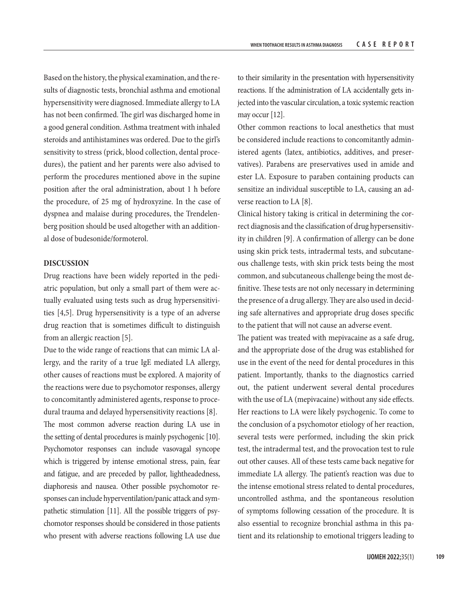Based on the history, the physical examination, and the results of diagnostic tests, bronchial asthma and emotional hypersensitivity were diagnosed. Immediate allergy to LA has not been confirmed. The girl was discharged home in a good general condition. Asthma treatment with inhaled steroids and antihistamines was ordered. Due to the girl's sensitivity to stress (prick, blood collection, dental procedures), the patient and her parents were also advised to perform the procedures mentioned above in the supine position after the oral administration, about 1 h before the procedure, of 25 mg of hydroxyzine. In the case of dyspnea and malaise during procedures, the Trendelenberg position should be used altogether with an additional dose of budesonide/formoterol.

#### **DISCUSSION**

Drug reactions have been widely reported in the pediatric population, but only a small part of them were actually evaluated using tests such as drug hypersensitivities [4,5]. Drug hypersensitivity is a type of an adverse drug reaction that is sometimes difficult to distinguish from an allergic reaction [5].

Due to the wide range of reactions that can mimic LA allergy, and the rarity of a true IgE mediated LA allergy, other causes of reactions must be explored. A majority of the reactions were due to psychomotor responses, allergy to concomitantly administered agents, response to procedural trauma and delayed hypersensitivity reactions [8].

The most common adverse reaction during LA use in the setting of dental procedures is mainly psychogenic [10]. Psychomotor responses can include vasovagal syncope which is triggered by intense emotional stress, pain, fear and fatigue, and are preceded by pallor, lightheadedness, diaphoresis and nausea. Other possible psychomotor responses can include hyperventilation/panic attack and sympathetic stimulation [11]. All the possible triggers of psychomotor responses should be considered in those patients who present with adverse reactions following LA use due

to their similarity in the presentation with hypersensitivity reactions. If the administration of LA accidentally gets injected into the vascular circulation, a toxic systemic reaction may occur [12].

Other common reactions to local anesthetics that must be considered include reactions to concomitantly administered agents (latex, antibiotics, additives, and preservatives). Parabens are preservatives used in amide and ester LA. Exposure to paraben containing products can sensitize an individual susceptible to LA, causing an adverse reaction to LA [8].

Clinical history taking is critical in determining the correct diagnosis and the classification of drug hypersensitivity in children [9]. A confirmation of allergy can be done using skin prick tests, intradermal tests, and subcutaneous challenge tests, with skin prick tests being the most common, and subcutaneous challenge being the most definitive. These tests are not only necessary in determining the presence of a drug allergy. They are also used in deciding safe alternatives and appropriate drug doses specific to the patient that will not cause an adverse event.

The patient was treated with mepivacaine as a safe drug, and the appropriate dose of the drug was established for use in the event of the need for dental procedures in this patient. Importantly, thanks to the diagnostics carried out, the patient underwent several dental procedures with the use of LA (mepivacaine) without any side effects. Her reactions to LA were likely psychogenic. To come to the conclusion of a psychomotor etiology of her reaction, several tests were performed, including the skin prick test, the intradermal test, and the provocation test to rule out other causes. All of these tests came back negative for immediate LA allergy. The patient's reaction was due to the intense emotional stress related to dental procedures, uncontrolled asthma, and the spontaneous resolution of symptoms following cessation of the procedure. It is also essential to recognize bronchial asthma in this patient and its relationship to emotional triggers leading to